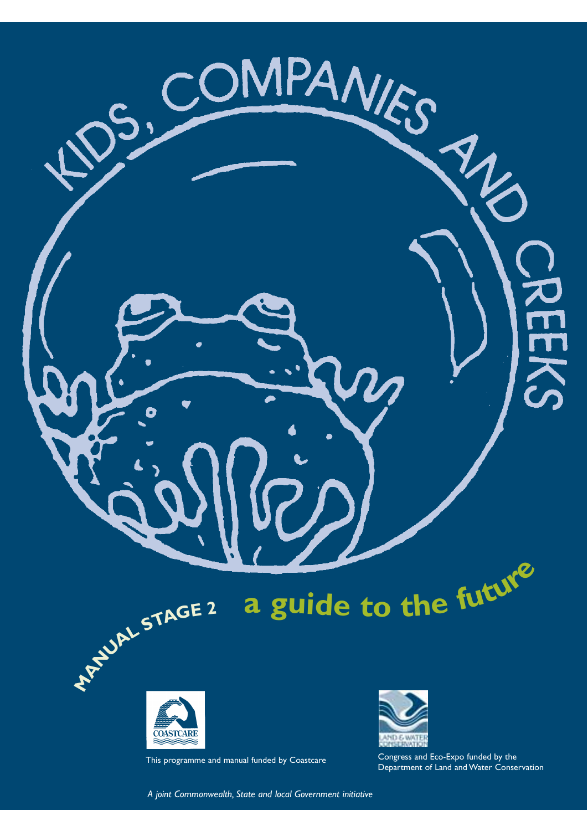

*A joint Commonwealth, State and local Government initiative*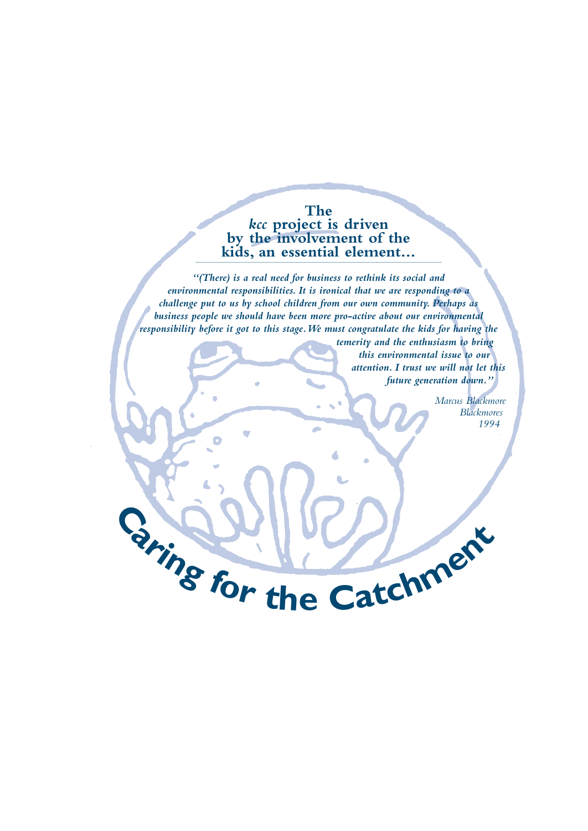### **The** *kcc* **project is driven by the involvement of the kids, an essential element...**

*"(There) is a real need for business to rethink its social and environmental responsibilities. It is ironical that we are responding to a challenge put to us by school children from our own community. Perhaps as business people we should have been more pro-active about our environmental responsibility before it got to this stage.We must congratulate the kids for having the*

*temerity and the enthusiasm to bring this environmental issue to our attention. I trust we will not let this future generation down."*

> *Marcus Blackmore Blackmores 1994*

**C**<sub>a</sub><br>*i*<sub>*n*g</sub> **for the Catchiner**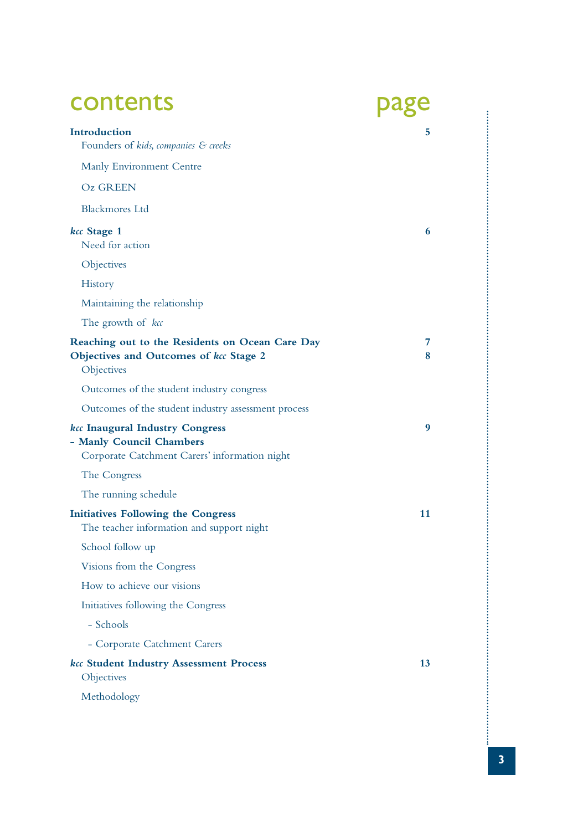| contents                                                                                                     |        |  |
|--------------------------------------------------------------------------------------------------------------|--------|--|
| Introduction<br>Founders of kids, companies & creeks                                                         | 5      |  |
| Manly Environment Centre                                                                                     |        |  |
| <b>Oz GREEN</b>                                                                                              |        |  |
| <b>Blackmores</b> Ltd                                                                                        |        |  |
| kcc Stage 1<br>Need for action                                                                               | 6      |  |
| Objectives                                                                                                   |        |  |
| <b>History</b>                                                                                               |        |  |
| Maintaining the relationship                                                                                 |        |  |
| The growth of kcc                                                                                            |        |  |
| Reaching out to the Residents on Ocean Care Day<br>Objectives and Outcomes of kcc Stage 2<br>Objectives      | 7<br>8 |  |
| Outcomes of the student industry congress                                                                    |        |  |
| Outcomes of the student industry assessment process                                                          |        |  |
| kcc Inaugural Industry Congress<br>- Manly Council Chambers<br>Corporate Catchment Carers' information night | 9      |  |
| The Congress                                                                                                 |        |  |
| The running schedule                                                                                         |        |  |
| <b>Initiatives Following the Congress</b><br>The teacher information and support night                       | 11     |  |
| School follow up                                                                                             |        |  |
| Visions from the Congress                                                                                    |        |  |
| How to achieve our visions                                                                                   |        |  |
| Initiatives following the Congress                                                                           |        |  |
| - Schools                                                                                                    |        |  |
| - Corporate Catchment Carers                                                                                 |        |  |
| kcc Student Industry Assessment Process<br>Objectives                                                        | 13     |  |
| Methodology                                                                                                  |        |  |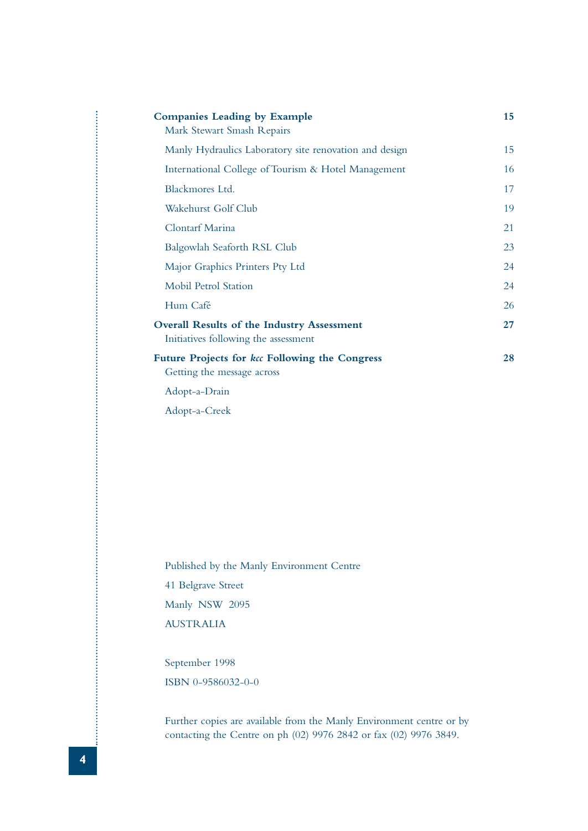| <b>Companies Leading by Example</b><br>Mark Stewart Smash Repairs                         | 15 |
|-------------------------------------------------------------------------------------------|----|
| Manly Hydraulics Laboratory site renovation and design                                    | 15 |
| International College of Tourism & Hotel Management                                       | 16 |
| Blackmores Ltd.                                                                           | 17 |
| Wakehurst Golf Club                                                                       | 19 |
| <b>Clontarf Marina</b>                                                                    | 21 |
| Balgowlah Seaforth RSL Club                                                               | 23 |
| Major Graphics Printers Pty Ltd                                                           | 24 |
| Mobil Petrol Station                                                                      | 24 |
| Hum Café                                                                                  | 26 |
| <b>Overall Results of the Industry Assessment</b><br>Initiatives following the assessment | 27 |
| Future Projects for kcc Following the Congress<br>Getting the message across              | 28 |
| Adopt-a-Drain                                                                             |    |
| Adopt-a-Creek                                                                             |    |

Published by the Manly Environment Centre 41 Belgrave Street Manly NSW 2095 AUSTRALIA

September 1998 ISBN 0-9586032-0-0

Further copies are available from the Manly Environment centre or by contacting the Centre on ph (02) 9976 2842 or fax (02) 9976 3849.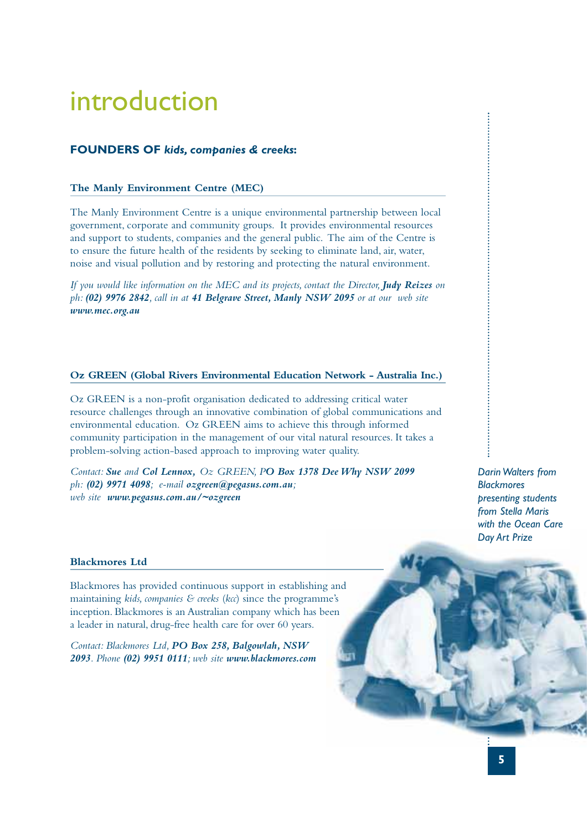### introduction

#### **FOUNDERS OF** *kids, companies & creeks***:**

#### **The Manly Environment Centre (MEC)**

The Manly Environment Centre is a unique environmental partnership between local government, corporate and community groups. It provides environmental resources and support to students, companies and the general public. The aim of the Centre is to ensure the future health of the residents by seeking to eliminate land, air, water, noise and visual pollution and by restoring and protecting the natural environment.

*If you would like information on the MEC and its projects, contact the Director, Judy Reizes on ph: (02) 9976 2842, call in at 41 Belgrave Street, Manly NSW 2095 or at our web site www.mec.org.au*

#### **Oz GREEN (Global Rivers Environmental Education Network - Australia Inc.)**

Oz GREEN is a non-profit organisation dedicated to addressing critical water resource challenges through an innovative combination of global communications and environmental education. Oz GREEN aims to achieve this through informed community participation in the management of our vital natural resources. It takes a problem-solving action-based approach to improving water quality.

*Contact: Sue and Col Lennox, Oz GREEN, PO Box 1378 Dee Why NSW 2099 ph: (02) 9971 4098; e-mail ozgreen@pegasus.com.au; web site www.pegasus.com.au/~ozgreen*

*Darin Walters from Blackmores presenting students from Stella Maris with the Ocean Care Day Art Prize*

#### **Blackmores Ltd**

Blackmores has provided continuous support in establishing and maintaining *kids, companies & creeks* (*kcc*) since the programme's inception. Blackmores is an Australian company which has been a leader in natural, drug-free health care for over 60 years.

*Contact: Blackmores Ltd, PO Box 258, Balgowlah, NSW 2093. Phone (02) 9951 0111; web site www.blackmores.com*

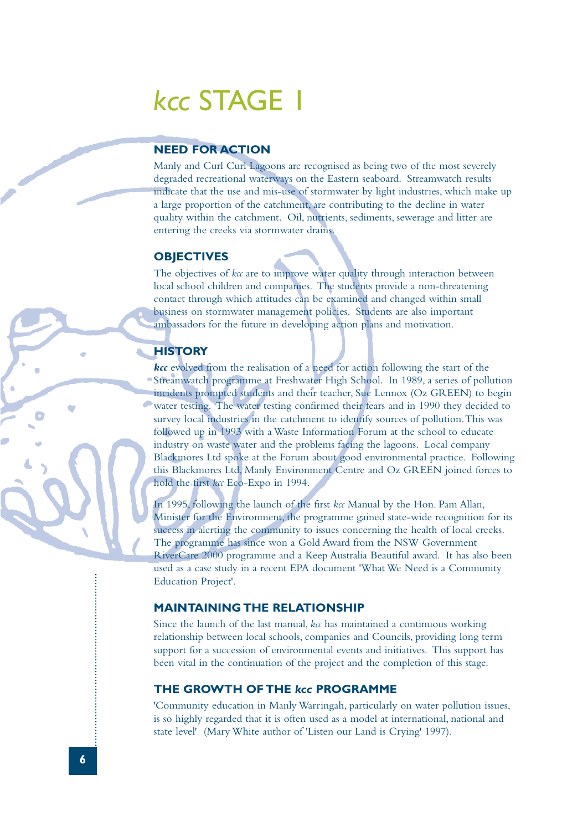### *kcc* STAGE 1

#### **NEED FOR ACTION**

Manly and Curl Curl Lagoons are recognised as being two of the most severely degraded recreational waterways on the Eastern seaboard. Streamwatch results indicate that the use and mis-use of stormwater by light industries, which make up a large proportion of the catchment, are contributing to the decline in water quality within the catchment. Oil, nutrients, sediments, sewerage and litter are entering the creeks via stormwater drains.

#### **OBJECTIVES**

The objectives of *kcc* are to improve water quality through interaction between local school children and companies. The students provide a non-threatening contact through which attitudes can be examined and changed within small business on stormwater management policies. Students are also important ambassadors for the future in developing action plans and motivation.

#### **HISTORY**

**kcc** evolved from the realisation of a need for action following the start of the Streamwatch programme at Freshwater High School. In 1989, a series of pollution incidents prompted students and their teacher, Sue Lennox (Oz GREEN) to begin water testing. The water testing confirmed their fears and in 1990 they decided to survey local industries in the catchment to identify sources of pollution.This was followed up in 1993 with a Waste Information Forum at the school to educate industry on waste water and the problems facing the lagoons. Local company Blackmores Ltd spoke at the Forum about good environmental practice. Following this Blackmores Ltd, Manly Environment Centre and Oz GREEN joined forces to hold the first *kcc* Eco-Expo in 1994.

In 1995, following the launch of the first *kcc* Manual by the Hon. Pam Allan, Minister for the Environment, the programme gained state-wide recognition for its success in alerting the community to issues concerning the health of local creeks. The programme has since won a Gold Award from the NSW Government RiverCare 2000 programme and a Keep Australia Beautiful award. It has also been used as a case study in a recent EPA document 'What We Need is a Community Education Project'.

#### **MAINTAINING THE RELATIONSHIP**

Since the launch of the last manual, *kcc* has maintained a continuous working relationship between local schools, companies and Councils, providing long term support for a succession of environmental events and initiatives. This support has been vital in the continuation of the project and the completion of this stage.

#### **THE GROWTH OF THE** *kcc* **PROGRAMME**

'Community education in Manly Warringah, particularly on water pollution issues, is so highly regarded that it is often used as a model at international, national and state level' (Mary White author of 'Listen our Land is Crying' 1997).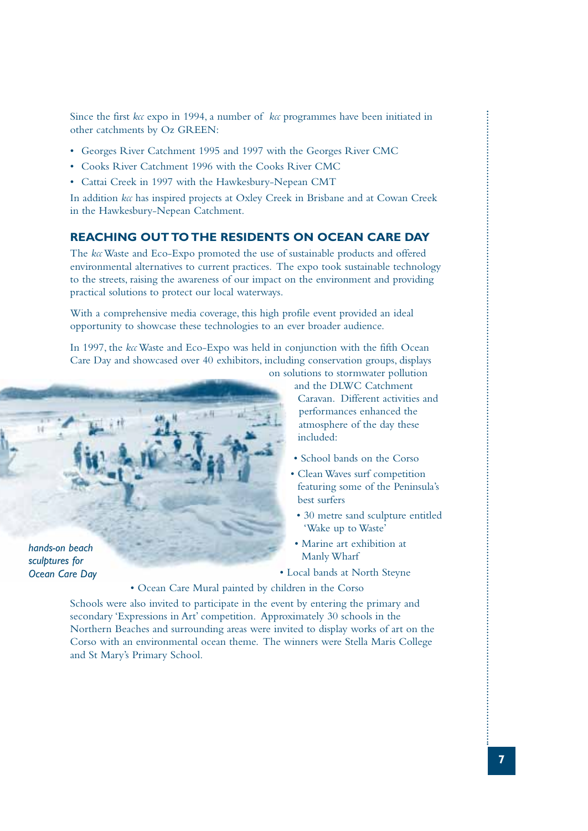Since the first *kcc* expo in 1994, a number of *kcc* programmes have been initiated in other catchments by Oz GREEN:

- Georges River Catchment 1995 and 1997 with the Georges River CMC
- Cooks River Catchment 1996 with the Cooks River CMC
- Cattai Creek in 1997 with the Hawkesbury-Nepean CMT

In addition *kcc* has inspired projects at Oxley Creek in Brisbane and at Cowan Creek in the Hawkesbury-Nepean Catchment.

#### **REACHING OUT TO THE RESIDENTS ON OCEAN CARE DAY**

The *kcc* Waste and Eco-Expo promoted the use of sustainable products and offered environmental alternatives to current practices. The expo took sustainable technology to the streets, raising the awareness of our impact on the environment and providing practical solutions to protect our local waterways.

With a comprehensive media coverage, this high profile event provided an ideal opportunity to showcase these technologies to an ever broader audience.

In 1997, the *kcc* Waste and Eco-Expo was held in conjunction with the fifth Ocean Care Day and showcased over 40 exhibitors, including conservation groups, displays on solutions to stormwater pollution



*sculptures for Ocean Care Day* and the DLWC Catchment Caravan. Different activities and performances enhanced the atmosphere of the day these included:

- School bands on the Corso
- Clean Waves surf competition featuring some of the Peninsula's best surfers
- 30 metre sand sculpture entitled 'Wake up to Waste'
- Marine art exhibition at Manly Wharf
- Local bands at North Steyne

• Ocean Care Mural painted by children in the Corso

Schools were also invited to participate in the event by entering the primary and secondary 'Expressions in Art' competition. Approximately 30 schools in the Northern Beaches and surrounding areas were invited to display works of art on the Corso with an environmental ocean theme. The winners were Stella Maris College and St Mary's Primary School.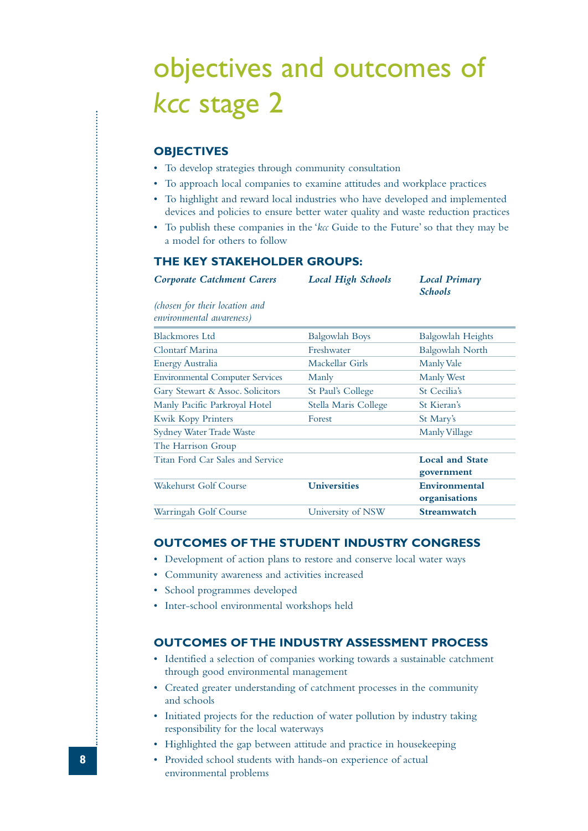### objectives and outcomes of *kcc* stage 2

#### **OBJECTIVES**

...........

- To develop strategies through community consultation
- To approach local companies to examine attitudes and workplace practices
- To highlight and reward local industries who have developed and implemented devices and policies to ensure better water quality and waste reduction practices
- To publish these companies in the '*kcc* Guide to the Future' so that they may be a model for others to follow

#### **THE KEY STAKEHOLDER GROUPS:**

| <b>Corporate Catchment Carers</b>                          | <b>Local High Schools</b> | <b>Local Primary</b><br><b>Schools</b> |  |
|------------------------------------------------------------|---------------------------|----------------------------------------|--|
| (chosen for their location and<br>environmental awareness) |                           |                                        |  |
| Blackmores Ltd                                             | <b>Balgowlah Boys</b>     | Balgowlah Heights                      |  |
| <b>Clontarf Marina</b>                                     | Freshwater                | <b>Balgowlah North</b>                 |  |
| Energy Australia                                           | Mackellar Girls           | Manly Vale                             |  |
| <b>Environmental Computer Services</b>                     | Manly                     | Manly West                             |  |
| Gary Stewart & Assoc. Solicitors                           | St Paul's College         | St Cecilia's                           |  |
| Manly Pacific Parkroyal Hotel                              | Stella Maris College      | St Kieran's                            |  |
| <b>Kwik Kopy Printers</b>                                  | Forest                    | St Mary's                              |  |
| Sydney Water Trade Waste                                   |                           | Manly Village                          |  |
| The Harrison Group                                         |                           |                                        |  |
| Titan Ford Car Sales and Service                           |                           | <b>Local and State</b>                 |  |
|                                                            |                           | government                             |  |
| Wakehurst Golf Course                                      | <b>Universities</b>       | Environmental                          |  |
|                                                            |                           | organisations                          |  |
| Warringah Golf Course                                      | University of NSW         | Streamwatch                            |  |

#### **OUTCOMES OF THE STUDENT INDUSTRY CONGRESS**

- Development of action plans to restore and conserve local water ways
- Community awareness and activities increased
- School programmes developed
- Inter-school environmental workshops held

#### **OUTCOMES OF THE INDUSTRY ASSESSMENT PROCESS**

- Identified a selection of companies working towards a sustainable catchment through good environmental management
- Created greater understanding of catchment processes in the community and schools
- Initiated projects for the reduction of water pollution by industry taking responsibility for the local waterways
- Highlighted the gap between attitude and practice in housekeeping
- Provided school students with hands-on experience of actual environmental problems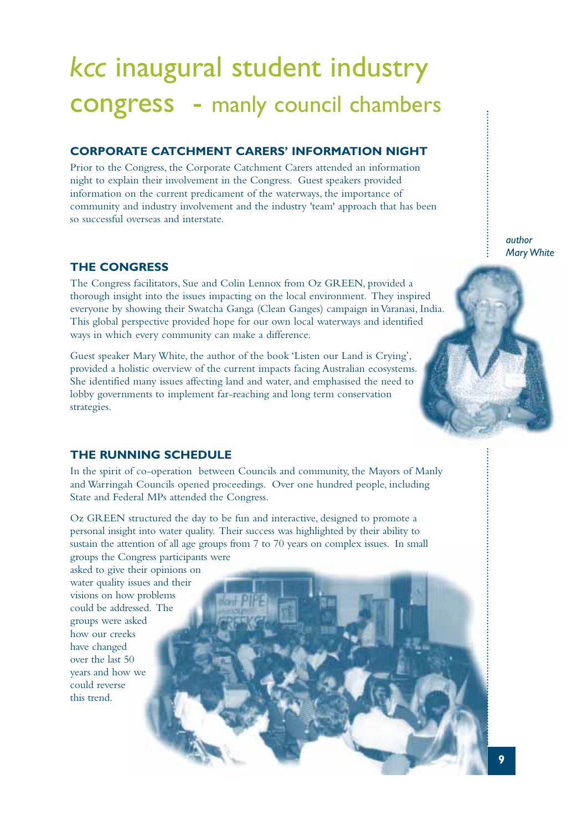### *kcc* inaugural student industry congress - manly council chambers

#### **CORPORATE CATCHMENT CARERS' INFORMATION NIGHT**

Prior to the Congress, the Corporate Catchment Carers attended an information night to explain their involvement in the Congress. Guest speakers provided information on the current predicament of the waterways, the importance of community and industry involvement and the industry 'team' approach that has been so successful overseas and interstate.

#### **THE CONGRESS**

The Congress facilitators, Sue and Colin Lennox from Oz GREEN, provided a thorough insight into the issues impacting on the local environment. They inspired everyone by showing their Swatcha Ganga (Clean Ganges) campaign in Varanasi, India. This global perspective provided hope for our own local waterways and identified ways in which every community can make a difference.

Guest speaker Mary White, the author of the book 'Listen our Land is Crying', provided a holistic overview of the current impacts facing Australian ecosystems. She identified many issues affecting land and water, and emphasised the need to lobby governments to implement far-reaching and long term conservation strategies.

#### **THE RUNNING SCHEDULE**

In the spirit of co-operation between Councils and community, the Mayors of Manly and Warringah Councils opened proceedings. Over one hundred people, including State and Federal MPs attended the Congress.

Oz GREEN structured the day to be fun and interactive, designed to promote a personal insight into water quality. Their success was highlighted by their ability to sustain the attention of all age groups from 7 to 70 years on complex issues. In small groups the Congress participants were

asked to give their opinions on water quality issues and their visions on how problems could be addressed. The groups were asked how our creeks have changed over the last 50 years and how we could reverse this trend.

*author Mary White*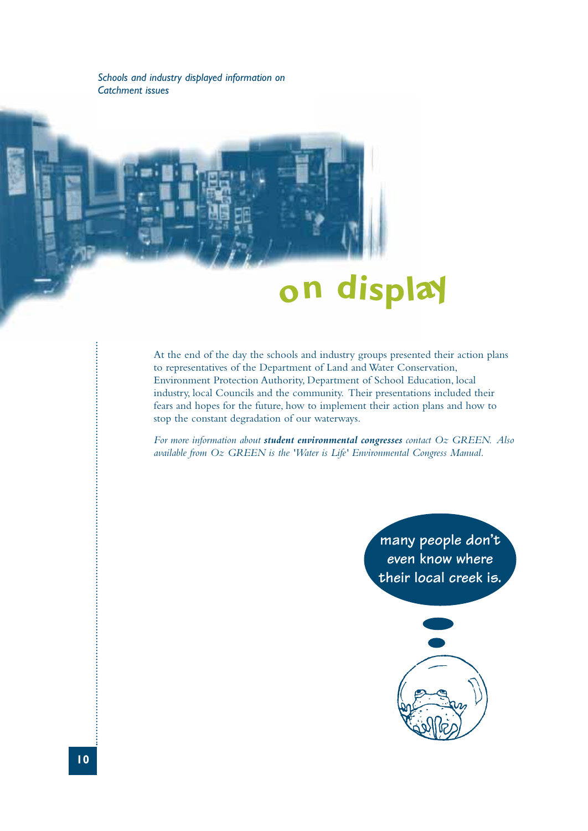*Schools and industry displayed information on Catchment issues* 

# **<sup>o</sup><sup>n</sup> display**

At the end of the day the schools and industry groups presented their action plans to representatives of the Department of Land and Water Conservation, Environment Protection Authority, Department of School Education, local industry, local Councils and the community. Their presentations included their fears and hopes for the future, how to implement their action plans and how to stop the constant degradation of our waterways.

*For more information about student environmental congresses contact Oz GREEN. Also available from Oz GREEN is the 'Water is Life' Environmental Congress Manual.*

> **many people don't even know where their local creek is.**



..............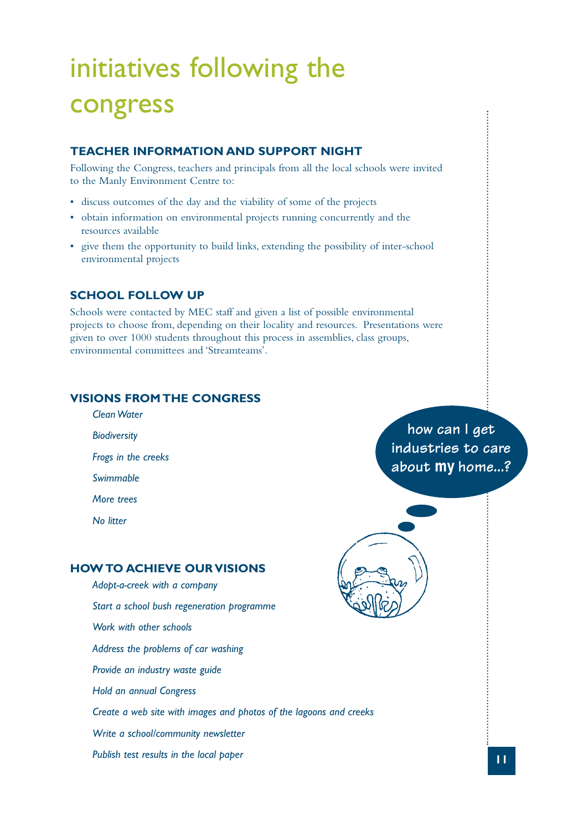## initiatives following the congress

#### **TEACHER INFORMATION AND SUPPORT NIGHT**

Following the Congress, teachers and principals from all the local schools were invited to the Manly Environment Centre to:

- discuss outcomes of the day and the viability of some of the projects
- obtain information on environmental projects running concurrently and the resources available
- give them the opportunity to build links, extending the possibility of inter-school environmental projects

#### **SCHOOL FOLLOW UP**

Schools were contacted by MEC staff and given a list of possible environmental projects to choose from, depending on their locality and resources. Presentations were given to over 1000 students throughout this process in assemblies, class groups, environmental committees and 'Streamteams'.

#### **VISIONS FROM THE CONGRESS**

*Clean Water Biodiversity Frogs in the creeks Swimmable More trees No litter*

#### **HOW TO ACHIEVE OUR VISIONS**

*Adopt-a-creek with a company Start a school bush regeneration programme Work with other schools Address the problems of car washing Provide an industry waste guide Hold an annual Congress Create a web site with images and photos of the lagoons and creeks Write a school/community newsletter Publish test results in the local paper* **11**

**how can I get industries to care about** *my* **home...?**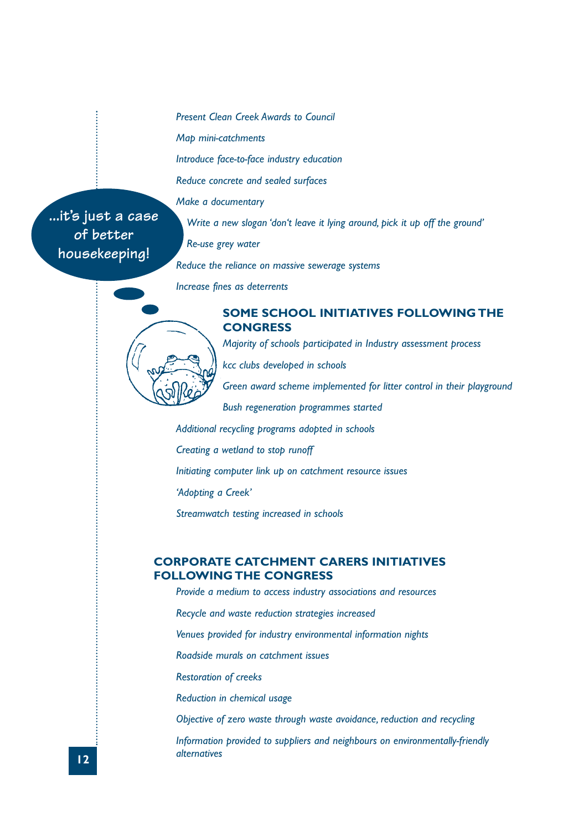*Present Clean Creek Awards to Council*

*Map mini-catchments*

*Introduce face-to-face industry education*

*Reduce concrete and sealed surfaces*

*Make a documentary*

**...it's just a case of better housekeeping!**

*Write a new slogan 'don't leave it lying around, pick it up off the ground'*

*Re-use grey water*

*Reduce the reliance on massive sewerage systems*

*Increase fines as deterrents*



#### **SOME SCHOOL INITIATIVES FOLLOWING THE CONGRESS**

*Majority of schools participated in Industry assessment process*

*kcc clubs developed in schools*

*Green award scheme implemented for litter control in their playground Bush regeneration programmes started*

*Additional recycling programs adopted in schools*

*Creating a wetland to stop runoff*

*Initiating computer link up on catchment resource issues*

*'Adopting a Creek'*

*Streamwatch testing increased in schools*

#### **CORPORATE CATCHMENT CARERS INITIATIVES FOLLOWING THE CONGRESS**

*Provide a medium to access industry associations and resources*

*Recycle and waste reduction strategies increased*

*Venues provided for industry environmental information nights*

*Roadside murals on catchment issues*

*Restoration of creeks*

*Reduction in chemical usage*

*Objective of zero waste through waste avoidance, reduction and recycling*

*Information provided to suppliers and neighbours on environmentally-friendly alternatives* **<sup>12</sup>**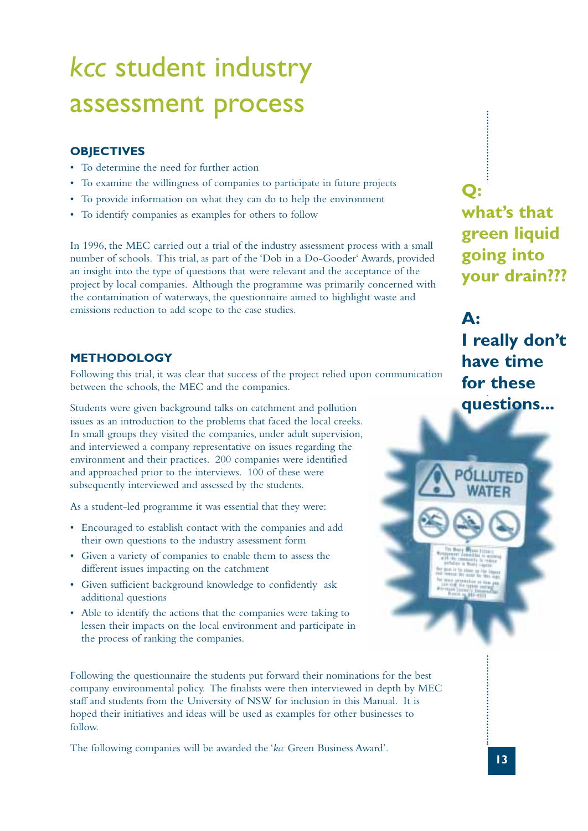### *kcc* student industry assessment process

#### **OBJECTIVES**

- To determine the need for further action
- To examine the willingness of companies to participate in future projects
- To provide information on what they can do to help the environment
- To identify companies as examples for others to follow

In 1996, the MEC carried out a trial of the industry assessment process with a small number of schools. This trial, as part of the 'Dob in a Do-Gooder' Awards, provided an insight into the type of questions that were relevant and the acceptance of the project by local companies. Although the programme was primarily concerned with the contamination of waterways, the questionnaire aimed to highlight waste and emissions reduction to add scope to the case studies.

#### **METHODOLOGY**

Following this trial, it was clear that success of the project relied upon communication between the schools, the MEC and the companies.

Students were given background talks on catchment and pollution issues as an introduction to the problems that faced the local creeks. In small groups they visited the companies, under adult supervision, and interviewed a company representative on issues regarding the environment and their practices. 200 companies were identified and approached prior to the interviews. 100 of these were subsequently interviewed and assessed by the students.

As a student-led programme it was essential that they were:

- Encouraged to establish contact with the companies and add their own questions to the industry assessment form
- Given a variety of companies to enable them to assess the different issues impacting on the catchment
- Given sufficient background knowledge to confidently ask additional questions
- Able to identify the actions that the companies were taking to lessen their impacts on the local environment and participate in the process of ranking the companies.

Following the questionnaire the students put forward their nominations for the best company environmental policy. The finalists were then interviewed in depth by MEC staff and students from the University of NSW for inclusion in this Manual. It is hoped their initiatives and ideas will be used as examples for other businesses to follow.

The following companies will be awarded the '*kcc* Green Business Award'.

**Q: what's that green liquid going into your drain???**

**A: I really don't have time for these questions...**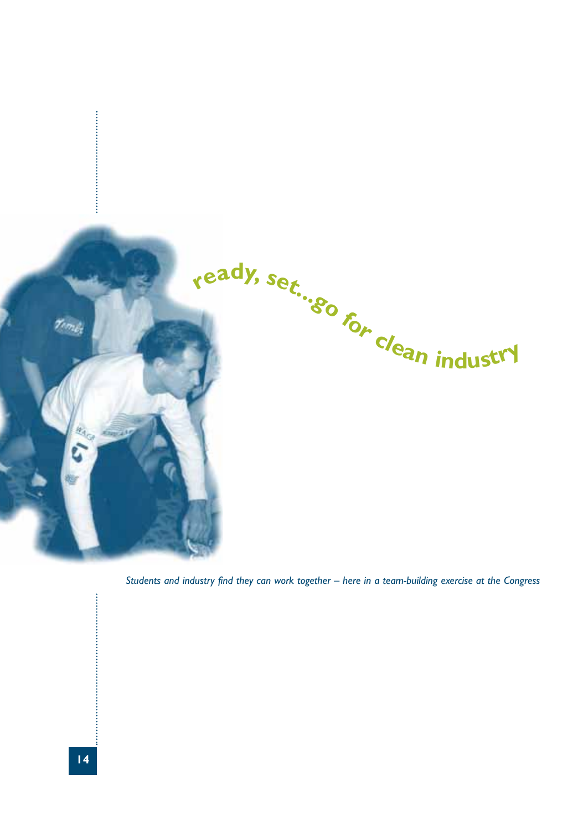

*Students and industry find they can work together – here in a team-building exercise at the Congress*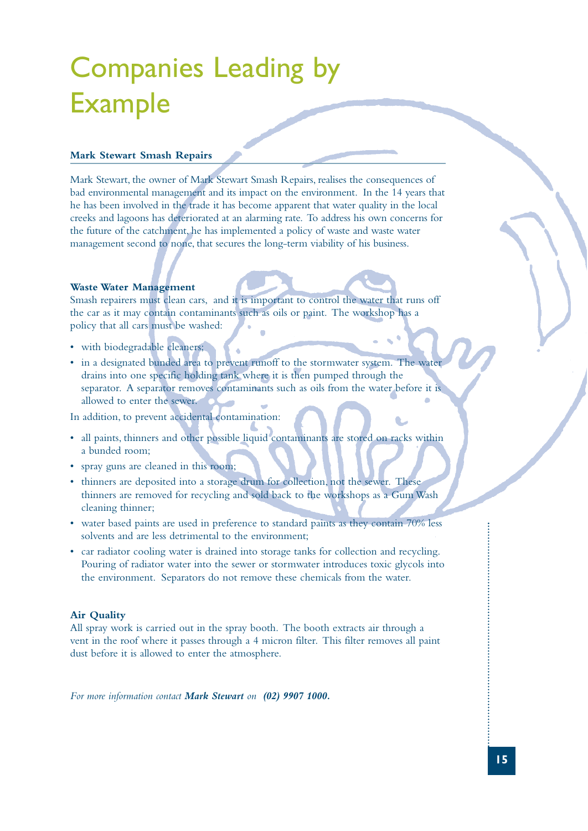## Companies Leading by Example

#### **Mark Stewart Smash Repairs**

Mark Stewart, the owner of Mark Stewart Smash Repairs, realises the consequences of bad environmental management and its impact on the environment. In the 14 years that he has been involved in the trade it has become apparent that water quality in the local creeks and lagoons has deteriorated at an alarming rate. To address his own concerns for the future of the catchment, he has implemented a policy of waste and waste water management second to none, that secures the long-term viability of his business.

#### **Waste Water Management**

Smash repairers must clean cars, and it is important to control the water that runs off the car as it may contain contaminants such as oils or paint. The workshop has a policy that all cars must be washed:

- with biodegradable cleaners;
- in a designated bunded area to prevent runoff to the stormwater system. The water drains into one specific holding tank where it is then pumped through the separator. A separator removes contaminants such as oils from the water before it is allowed to enter the sewer.

In addition, to prevent accidental contamination:

- all paints, thinners and other possible liquid contaminants are stored on racks within a bunded room;
- spray guns are cleaned in this room;
- thinners are deposited into a storage drum for collection, not the sewer. These thinners are removed for recycling and sold back to the workshops as a Gum Wash cleaning thinner;
- water based paints are used in preference to standard paints as they contain 70% less solvents and are less detrimental to the environment;
- car radiator cooling water is drained into storage tanks for collection and recycling. Pouring of radiator water into the sewer or stormwater introduces toxic glycols into the environment. Separators do not remove these chemicals from the water.

#### **Air Quality**

All spray work is carried out in the spray booth. The booth extracts air through a vent in the roof where it passes through a 4 micron filter. This filter removes all paint dust before it is allowed to enter the atmosphere.

*For more information contact Mark Stewart on (02) 9907 1000.*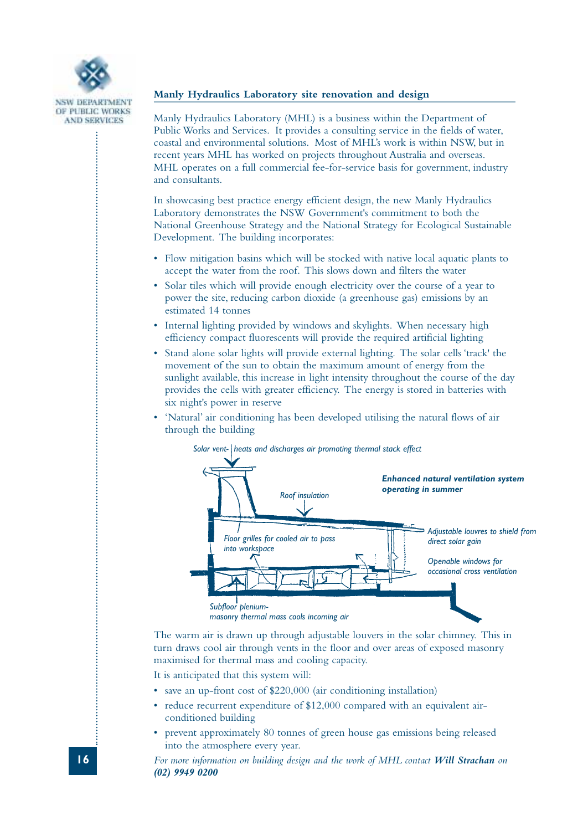

#### **Manly Hydraulics Laboratory site renovation and design**

Manly Hydraulics Laboratory (MHL) is a business within the Department of Public Works and Services. It provides a consulting service in the fields of water, coastal and environmental solutions. Most of MHL's work is within NSW, but in recent years MHL has worked on projects throughout Australia and overseas. MHL operates on a full commercial fee-for-service basis for government, industry and consultants.

In showcasing best practice energy efficient design, the new Manly Hydraulics Laboratory demonstrates the NSW Government's commitment to both the National Greenhouse Strategy and the National Strategy for Ecological Sustainable Development. The building incorporates:

- Flow mitigation basins which will be stocked with native local aquatic plants to accept the water from the roof. This slows down and filters the water
- Solar tiles which will provide enough electricity over the course of a year to power the site, reducing carbon dioxide (a greenhouse gas) emissions by an estimated 14 tonnes
- Internal lighting provided by windows and skylights. When necessary high efficiency compact fluorescents will provide the required artificial lighting
- Stand alone solar lights will provide external lighting. The solar cells 'track' the movement of the sun to obtain the maximum amount of energy from the sunlight available, this increase in light intensity throughout the course of the day provides the cells with greater efficiency. The energy is stored in batteries with six night's power in reserve
- 'Natural' air conditioning has been developed utilising the natural flows of air through the building

*Solar vent- heats and discharges air promoting thermal stack effect* 



The warm air is drawn up through adjustable louvers in the solar chimney. This in turn draws cool air through vents in the floor and over areas of exposed masonry maximised for thermal mass and cooling capacity.

It is anticipated that this system will:

- save an up-front cost of \$220,000 (air conditioning installation)
- reduce recurrent expenditure of \$12,000 compared with an equivalent airconditioned building
- prevent approximately 80 tonnes of green house gas emissions being released into the atmosphere every year.

*For more information on building design and the work of MHL contact Will Strachan on (02) 9949 0200*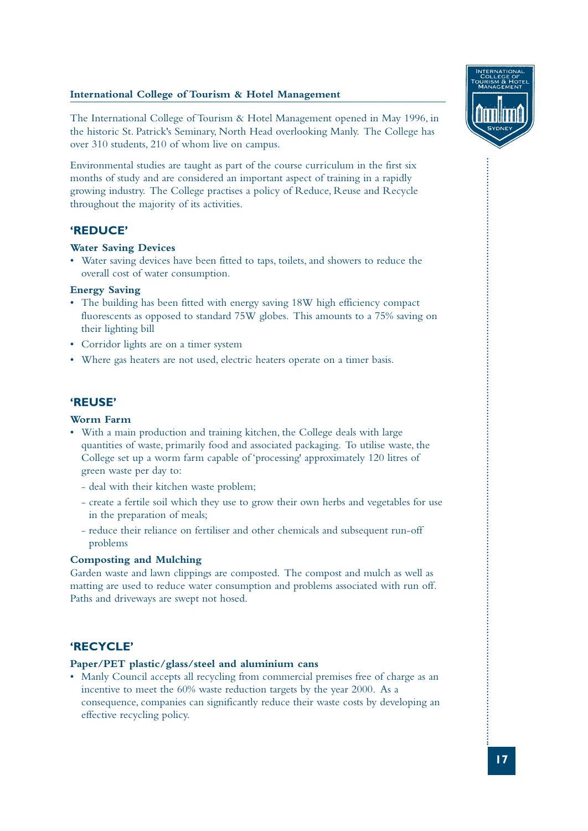#### **International College of Tourism & Hotel Management**



The International College of Tourism & Hotel Management opened in May 1996, in the historic St. Patrick's Seminary, North Head overlooking Manly. The College has over 310 students, 210 of whom live on campus.

Environmental studies are taught as part of the course curriculum in the first six months of study and are considered an important aspect of training in a rapidly growing industry. The College practises a policy of Reduce, Reuse and Recycle throughout the majority of its activities.

#### **'REDUCE'**

#### **Water Saving Devices**

• Water saving devices have been fitted to taps, toilets, and showers to reduce the overall cost of water consumption.

#### **Energy Saving**

- The building has been fitted with energy saving 18W high efficiency compact fluorescents as opposed to standard 75W globes. This amounts to a 75% saving on their lighting bill
- Corridor lights are on a timer system
- Where gas heaters are not used, electric heaters operate on a timer basis.

#### **'REUSE'**

#### **Worm Farm**

- With a main production and training kitchen, the College deals with large quantities of waste, primarily food and associated packaging. To utilise waste, the College set up a worm farm capable of 'processing' approximately 120 litres of green waste per day to:
	- deal with their kitchen waste problem;
	- create a fertile soil which they use to grow their own herbs and vegetables for use in the preparation of meals;
	- reduce their reliance on fertiliser and other chemicals and subsequent run-off problems

#### **Composting and Mulching**

Garden waste and lawn clippings are composted. The compost and mulch as well as matting are used to reduce water consumption and problems associated with run off. Paths and driveways are swept not hosed.

#### **'RECYCLE'**

#### **Paper/PET plastic/glass/steel and aluminium cans**

• Manly Council accepts all recycling from commercial premises free of charge as an incentive to meet the 60% waste reduction targets by the year 2000. As a consequence, companies can significantly reduce their waste costs by developing an effective recycling policy.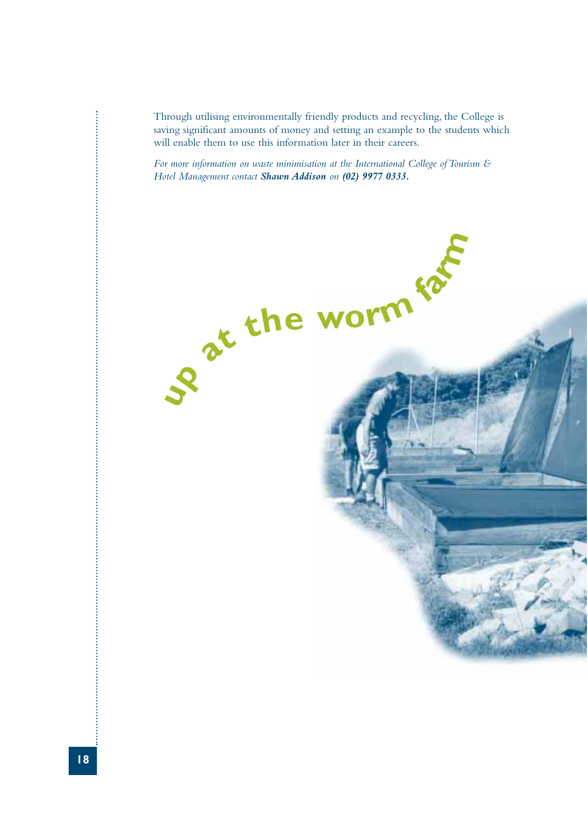Through utilising environmentally friendly products and recycling, the College is saving significant amounts of money and setting an example to the students which will enable them to use this information later in their careers.

*For more information on waste minimisation at the International College of Tourism & Hotel Management contact Shawn Addison on (02) 9977 0333.*

**<sup>a</sup><sup>t</sup> <sup>t</sup>h<sup>e</sup> <sup>w</sup>or<sup>m</sup> <sup>f</sup>a<sup>r</sup><sup>m</sup>**

**up**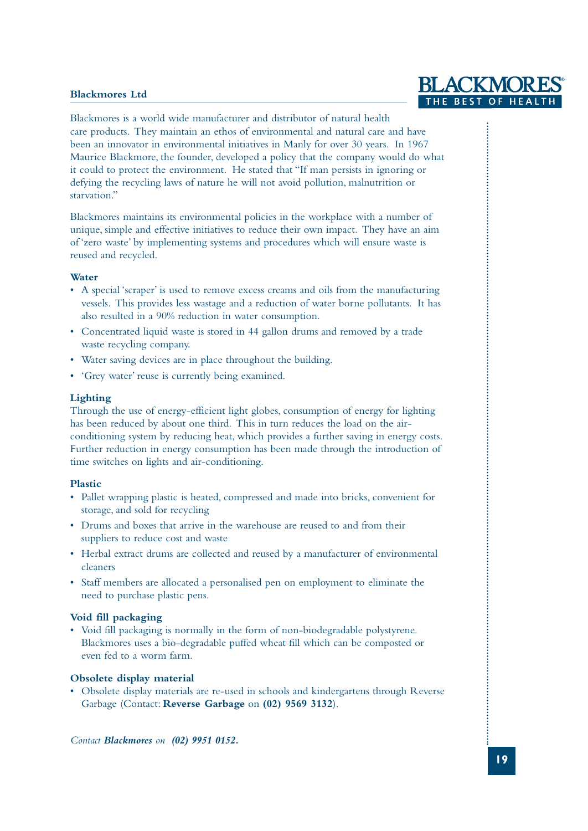#### **Blackmores Ltd**

**BLACKMOR BEST OF** 

Blackmores is a world wide manufacturer and distributor of natural health care products. They maintain an ethos of environmental and natural care and have been an innovator in environmental initiatives in Manly for over 30 years. In 1967 Maurice Blackmore, the founder, developed a policy that the company would do what it could to protect the environment. He stated that "If man persists in ignoring or defying the recycling laws of nature he will not avoid pollution, malnutrition or starvation."

Blackmores maintains its environmental policies in the workplace with a number of unique, simple and effective initiatives to reduce their own impact. They have an aim of 'zero waste' by implementing systems and procedures which will ensure waste is reused and recycled.

#### **Water**

- A special 'scraper' is used to remove excess creams and oils from the manufacturing vessels. This provides less wastage and a reduction of water borne pollutants. It has also resulted in a 90% reduction in water consumption.
- Concentrated liquid waste is stored in 44 gallon drums and removed by a trade waste recycling company.
- Water saving devices are in place throughout the building.
- 'Grey water' reuse is currently being examined.

#### **Lighting**

Through the use of energy-efficient light globes, consumption of energy for lighting has been reduced by about one third. This in turn reduces the load on the airconditioning system by reducing heat, which provides a further saving in energy costs. Further reduction in energy consumption has been made through the introduction of time switches on lights and air-conditioning.

#### **Plastic**

- Pallet wrapping plastic is heated, compressed and made into bricks, convenient for storage, and sold for recycling
- Drums and boxes that arrive in the warehouse are reused to and from their suppliers to reduce cost and waste
- Herbal extract drums are collected and reused by a manufacturer of environmental cleaners
- Staff members are allocated a personalised pen on employment to eliminate the need to purchase plastic pens.

#### **Void fill packaging**

• Void fill packaging is normally in the form of non-biodegradable polystyrene. Blackmores uses a bio-degradable puffed wheat fill which can be composted or even fed to a worm farm.

#### **Obsolete display material**

• Obsolete display materials are re-used in schools and kindergartens through Reverse Garbage (Contact: **Reverse Garbage** on **(02) 9569 3132**).

*Contact Blackmores on (02) 9951 0152.*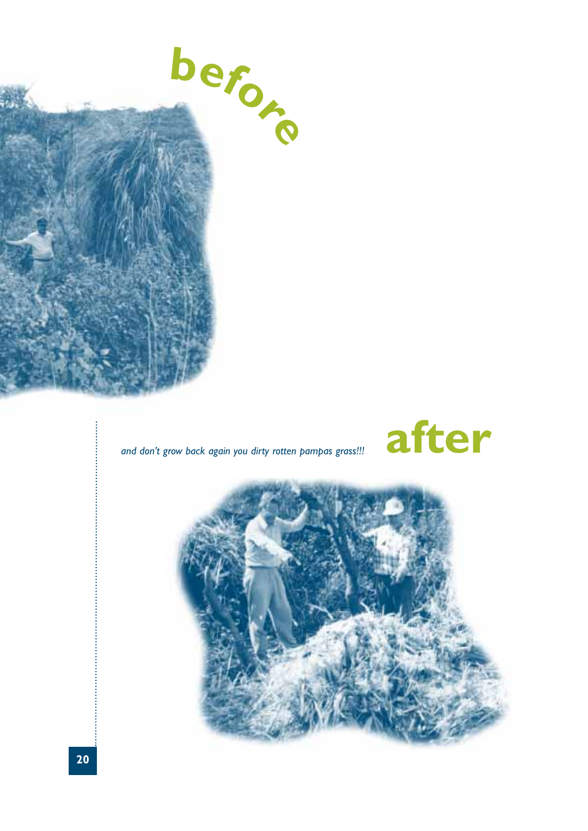



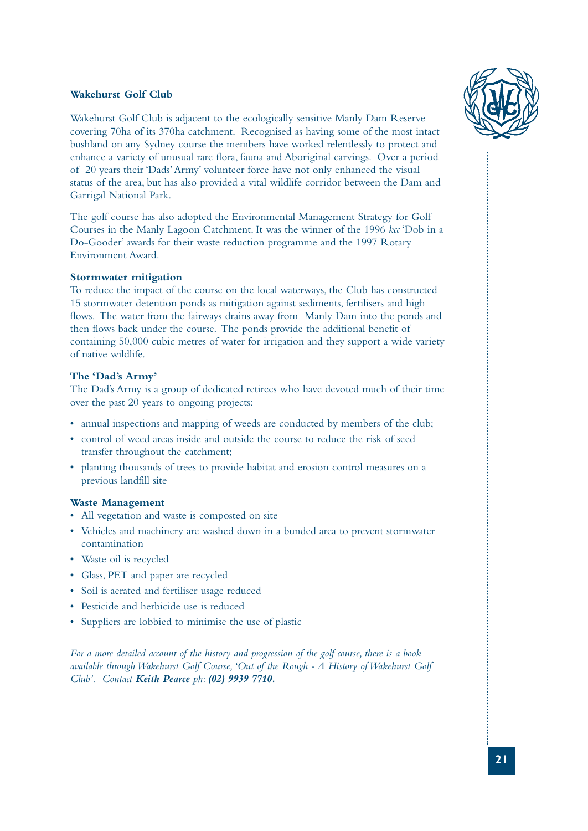#### **Wakehurst Golf Club**

Wakehurst Golf Club is adjacent to the ecologically sensitive Manly Dam Reserve covering 70ha of its 370ha catchment. Recognised as having some of the most intact bushland on any Sydney course the members have worked relentlessly to protect and enhance a variety of unusual rare flora, fauna and Aboriginal carvings. Over a period of 20 years their 'Dads'Army' volunteer force have not only enhanced the visual status of the area, but has also provided a vital wildlife corridor between the Dam and Garrigal National Park.

The golf course has also adopted the Environmental Management Strategy for Golf Courses in the Manly Lagoon Catchment. It was the winner of the 1996 *kcc* 'Dob in a Do-Gooder' awards for their waste reduction programme and the 1997 Rotary Environment Award.

#### **Stormwater mitigation**

To reduce the impact of the course on the local waterways, the Club has constructed 15 stormwater detention ponds as mitigation against sediments, fertilisers and high flows. The water from the fairways drains away from Manly Dam into the ponds and then flows back under the course. The ponds provide the additional benefit of containing 50,000 cubic metres of water for irrigation and they support a wide variety of native wildlife.

#### **The 'Dad's Army'**

The Dad's Army is a group of dedicated retirees who have devoted much of their time over the past 20 years to ongoing projects:

- annual inspections and mapping of weeds are conducted by members of the club;
- control of weed areas inside and outside the course to reduce the risk of seed transfer throughout the catchment;
- planting thousands of trees to provide habitat and erosion control measures on a previous landfill site

#### **Waste Management**

- All vegetation and waste is composted on site
- Vehicles and machinery are washed down in a bunded area to prevent stormwater contamination
- Waste oil is recycled
- Glass, PET and paper are recycled
- Soil is aerated and fertiliser usage reduced
- Pesticide and herbicide use is reduced
- Suppliers are lobbied to minimise the use of plastic

*For a more detailed account of the history and progression of the golf course, there is a book available through Wakehurst Golf Course,'Out of the Rough - A History of Wakehurst Golf Club'. Contact Keith Pearce ph: (02) 9939 7710.*

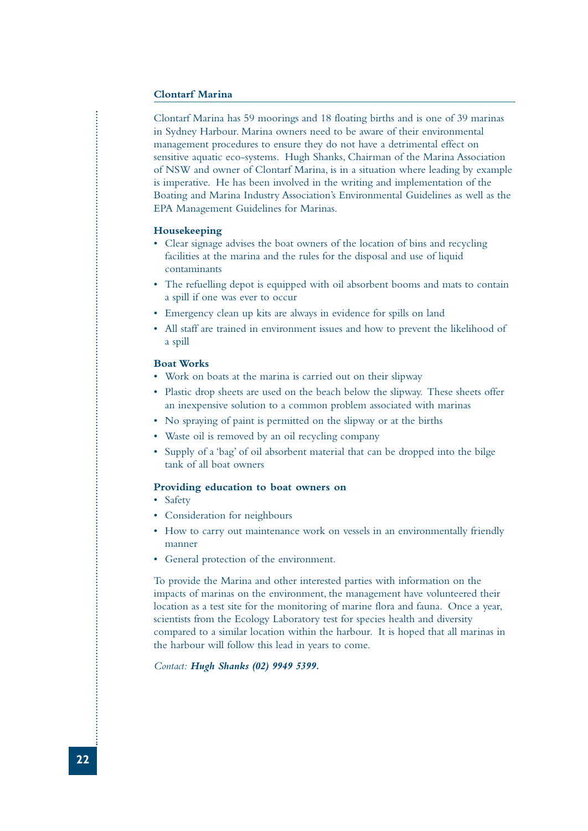#### **Clontarf Marina**

Clontarf Marina has 59 moorings and 18 floating births and is one of 39 marinas in Sydney Harbour. Marina owners need to be aware of their environmental management procedures to ensure they do not have a detrimental effect on sensitive aquatic eco-systems. Hugh Shanks, Chairman of the Marina Association of NSW and owner of Clontarf Marina, is in a situation where leading by example is imperative. He has been involved in the writing and implementation of the Boating and Marina Industry Association's Environmental Guidelines as well as the EPA Management Guidelines for Marinas.

#### **Housekeeping**

- Clear signage advises the boat owners of the location of bins and recycling facilities at the marina and the rules for the disposal and use of liquid contaminants
- The refuelling depot is equipped with oil absorbent booms and mats to contain a spill if one was ever to occur
- Emergency clean up kits are always in evidence for spills on land
- All staff are trained in environment issues and how to prevent the likelihood of a spill

#### **Boat Works**

- Work on boats at the marina is carried out on their slipway
- Plastic drop sheets are used on the beach below the slipway. These sheets offer an inexpensive solution to a common problem associated with marinas
- No spraying of paint is permitted on the slipway or at the births
- Waste oil is removed by an oil recycling company
- Supply of a 'bag' of oil absorbent material that can be dropped into the bilge tank of all boat owners

#### **Providing education to boat owners on**

- Safety
- Consideration for neighbours
- How to carry out maintenance work on vessels in an environmentally friendly manner
- General protection of the environment.

To provide the Marina and other interested parties with information on the impacts of marinas on the environment, the management have volunteered their location as a test site for the monitoring of marine flora and fauna. Once a year, scientists from the Ecology Laboratory test for species health and diversity compared to a similar location within the harbour. It is hoped that all marinas in the harbour will follow this lead in years to come.

*Contact: Hugh Shanks (02) 9949 5399.*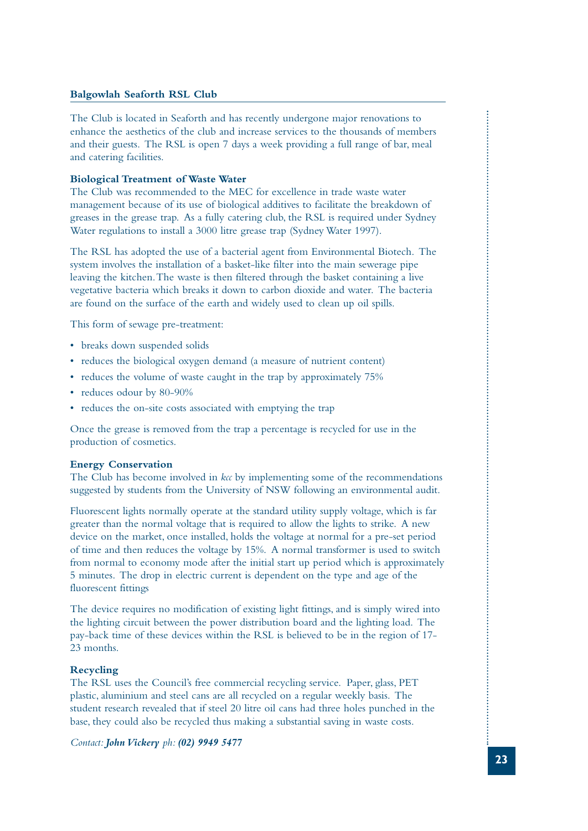#### **Balgowlah Seaforth RSL Club**

The Club is located in Seaforth and has recently undergone major renovations to enhance the aesthetics of the club and increase services to the thousands of members and their guests. The RSL is open 7 days a week providing a full range of bar, meal and catering facilities.

#### **Biological Treatment of Waste Water**

The Club was recommended to the MEC for excellence in trade waste water management because of its use of biological additives to facilitate the breakdown of greases in the grease trap. As a fully catering club, the RSL is required under Sydney Water regulations to install a 3000 litre grease trap (Sydney Water 1997).

The RSL has adopted the use of a bacterial agent from Environmental Biotech. The system involves the installation of a basket-like filter into the main sewerage pipe leaving the kitchen.The waste is then filtered through the basket containing a live vegetative bacteria which breaks it down to carbon dioxide and water. The bacteria are found on the surface of the earth and widely used to clean up oil spills.

This form of sewage pre-treatment:

- breaks down suspended solids
- reduces the biological oxygen demand (a measure of nutrient content)
- reduces the volume of waste caught in the trap by approximately 75%
- reduces odour by 80-90%
- reduces the on-site costs associated with emptying the trap

Once the grease is removed from the trap a percentage is recycled for use in the production of cosmetics.

#### **Energy Conservation**

The Club has become involved in *kcc* by implementing some of the recommendations suggested by students from the University of NSW following an environmental audit.

Fluorescent lights normally operate at the standard utility supply voltage, which is far greater than the normal voltage that is required to allow the lights to strike. A new device on the market, once installed, holds the voltage at normal for a pre-set period of time and then reduces the voltage by 15%. A normal transformer is used to switch from normal to economy mode after the initial start up period which is approximately 5 minutes. The drop in electric current is dependent on the type and age of the fluorescent fittings

The device requires no modification of existing light fittings, and is simply wired into the lighting circuit between the power distribution board and the lighting load. The pay-back time of these devices within the RSL is believed to be in the region of 17- 23 months.

#### **Recycling**

The RSL uses the Council's free commercial recycling service. Paper, glass, PET plastic, aluminium and steel cans are all recycled on a regular weekly basis. The student research revealed that if steel 20 litre oil cans had three holes punched in the base, they could also be recycled thus making a substantial saving in waste costs.

*Contact: John Vickery ph: (02) 9949 5477*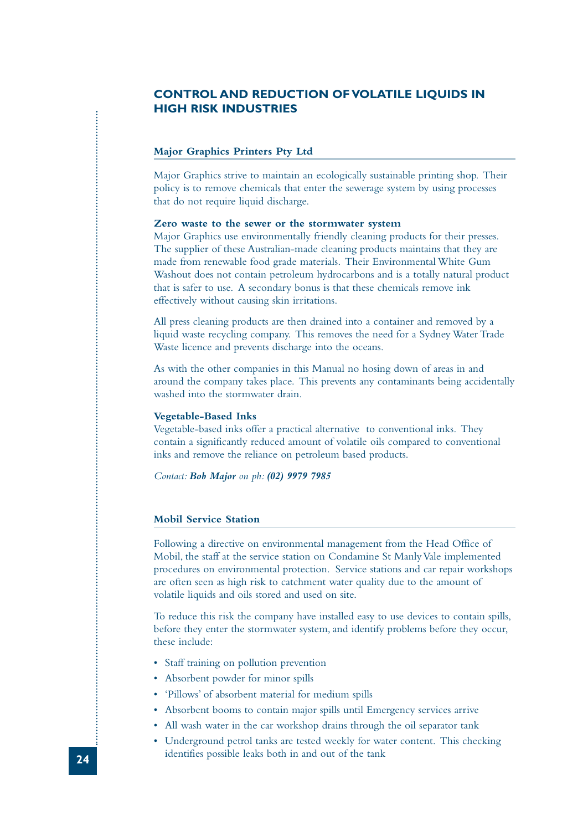#### **CONTROL AND REDUCTION OF VOLATILE LIQUIDS IN HIGH RISK INDUSTRIES**

#### **Major Graphics Printers Pty Ltd**

Major Graphics strive to maintain an ecologically sustainable printing shop. Their policy is to remove chemicals that enter the sewerage system by using processes that do not require liquid discharge.

#### **Zero waste to the sewer or the stormwater system**

Major Graphics use environmentally friendly cleaning products for their presses. The supplier of these Australian-made cleaning products maintains that they are made from renewable food grade materials. Their Environmental White Gum Washout does not contain petroleum hydrocarbons and is a totally natural product that is safer to use. A secondary bonus is that these chemicals remove ink effectively without causing skin irritations.

All press cleaning products are then drained into a container and removed by a liquid waste recycling company. This removes the need for a Sydney Water Trade Waste licence and prevents discharge into the oceans.

As with the other companies in this Manual no hosing down of areas in and around the company takes place. This prevents any contaminants being accidentally washed into the stormwater drain.

#### **Vegetable-Based Inks**

Vegetable-based inks offer a practical alternative to conventional inks. They contain a significantly reduced amount of volatile oils compared to conventional inks and remove the reliance on petroleum based products.

*Contact: Bob Major on ph: (02) 9979 7985*

#### **Mobil Service Station**

Following a directive on environmental management from the Head Office of Mobil, the staff at the service station on Condamine St Manly Vale implemented procedures on environmental protection. Service stations and car repair workshops are often seen as high risk to catchment water quality due to the amount of volatile liquids and oils stored and used on site.

To reduce this risk the company have installed easy to use devices to contain spills, before they enter the stormwater system, and identify problems before they occur, these include:

- Staff training on pollution prevention
- Absorbent powder for minor spills
- 'Pillows' of absorbent material for medium spills
- Absorbent booms to contain major spills until Emergency services arrive
- All wash water in the car workshop drains through the oil separator tank
- Underground petrol tanks are tested weekly for water content. This checking identifies possible leaks both in and out of the tank **<sup>24</sup>**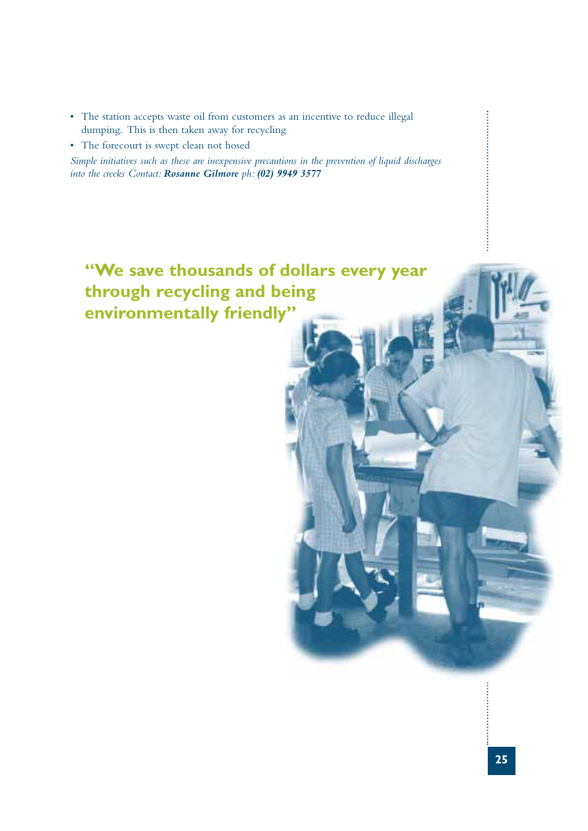- The station accepts waste oil from customers as an incentive to reduce illegal dumping. This is then taken away for recycling
- The forecourt is swept clean not hosed

*Simple initiatives such as these are inexpensive precautions in the prevention of liquid discharges into the creeks Contact: Rosanne Gilmore ph: (02) 9949 3577*

### **"We save thousands of dollars every year through recycling and being environmentally friendly"**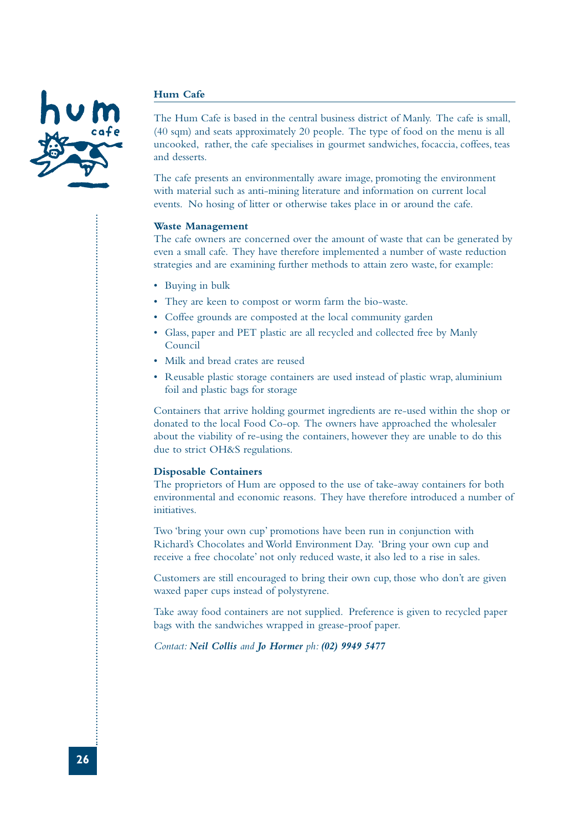#### **Hum Cafe**

The Hum Cafe is based in the central business district of Manly. The cafe is small, (40 sqm) and seats approximately 20 people. The type of food on the menu is all uncooked, rather, the cafe specialises in gourmet sandwiches, focaccia, coffees, teas and desserts.

The cafe presents an environmentally aware image, promoting the environment with material such as anti-mining literature and information on current local events. No hosing of litter or otherwise takes place in or around the cafe.

#### **Waste Management**

The cafe owners are concerned over the amount of waste that can be generated by even a small cafe. They have therefore implemented a number of waste reduction strategies and are examining further methods to attain zero waste, for example:

- Buying in bulk
- They are keen to compost or worm farm the bio-waste.
- Coffee grounds are composted at the local community garden
- Glass, paper and PET plastic are all recycled and collected free by Manly Council
- Milk and bread crates are reused
- Reusable plastic storage containers are used instead of plastic wrap, aluminium foil and plastic bags for storage

Containers that arrive holding gourmet ingredients are re-used within the shop or donated to the local Food Co-op. The owners have approached the wholesaler about the viability of re-using the containers, however they are unable to do this due to strict OH&S regulations.

#### **Disposable Containers**

The proprietors of Hum are opposed to the use of take-away containers for both environmental and economic reasons. They have therefore introduced a number of initiatives.

Two 'bring your own cup' promotions have been run in conjunction with Richard's Chocolates and World Environment Day. 'Bring your own cup and receive a free chocolate' not only reduced waste, it also led to a rise in sales.

Customers are still encouraged to bring their own cup, those who don't are given waxed paper cups instead of polystyrene.

Take away food containers are not supplied. Preference is given to recycled paper bags with the sandwiches wrapped in grease-proof paper.

*Contact: Neil Collis and Jo Hormer ph: (02) 9949 5477*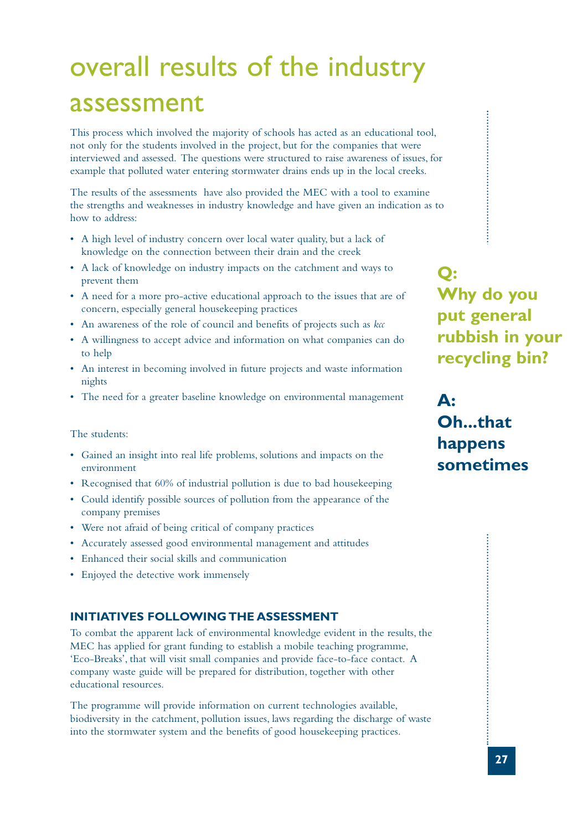### overall results of the industry assessment

This process which involved the majority of schools has acted as an educational tool, not only for the students involved in the project, but for the companies that were interviewed and assessed. The questions were structured to raise awareness of issues, for example that polluted water entering stormwater drains ends up in the local creeks.

The results of the assessments have also provided the MEC with a tool to examine the strengths and weaknesses in industry knowledge and have given an indication as to how to address:

- A high level of industry concern over local water quality, but a lack of knowledge on the connection between their drain and the creek
- A lack of knowledge on industry impacts on the catchment and ways to prevent them
- A need for a more pro-active educational approach to the issues that are of concern, especially general housekeeping practices
- An awareness of the role of council and benefits of projects such as *kcc*
- A willingness to accept advice and information on what companies can do to help
- An interest in becoming involved in future projects and waste information nights
- The need for a greater baseline knowledge on environmental management

#### The students:

- Gained an insight into real life problems, solutions and impacts on the environment
- Recognised that 60% of industrial pollution is due to bad housekeeping
- Could identify possible sources of pollution from the appearance of the company premises
- Were not afraid of being critical of company practices
- Accurately assessed good environmental management and attitudes
- Enhanced their social skills and communication
- Enjoyed the detective work immensely

#### **INITIATIVES FOLLOWING THE ASSESSMENT**

To combat the apparent lack of environmental knowledge evident in the results, the MEC has applied for grant funding to establish a mobile teaching programme, 'Eco-Breaks', that will visit small companies and provide face-to-face contact. A company waste guide will be prepared for distribution, together with other educational resources.

The programme will provide information on current technologies available, biodiversity in the catchment, pollution issues, laws regarding the discharge of waste into the stormwater system and the benefits of good housekeeping practices.

**Q: Why do you put general rubbish in your recycling bin?**

**A: Oh...that happens sometimes**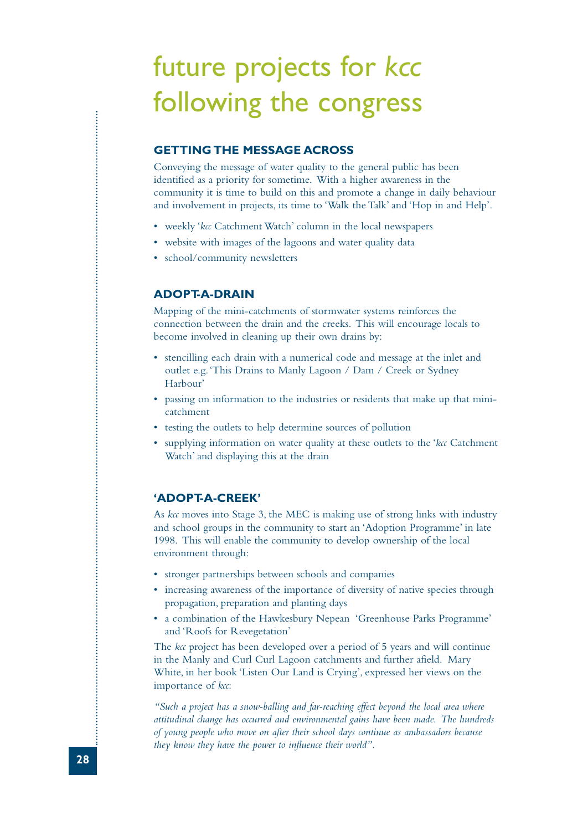### future projects for *kcc* following the congress

#### **GETTING THE MESSAGE ACROSS**

Conveying the message of water quality to the general public has been identified as a priority for sometime. With a higher awareness in the community it is time to build on this and promote a change in daily behaviour and involvement in projects, its time to 'Walk the Talk' and 'Hop in and Help'.

- weekly '*kcc* Catchment Watch' column in the local newspapers
- website with images of the lagoons and water quality data
- school/community newsletters

#### **ADOPT-A-DRAIN**

Mapping of the mini-catchments of stormwater systems reinforces the connection between the drain and the creeks. This will encourage locals to become involved in cleaning up their own drains by:

- stencilling each drain with a numerical code and message at the inlet and outlet e.g.'This Drains to Manly Lagoon / Dam / Creek or Sydney Harbour'
- passing on information to the industries or residents that make up that minicatchment
- testing the outlets to help determine sources of pollution
- supplying information on water quality at these outlets to the '*kcc* Catchment Watch' and displaying this at the drain

#### **'ADOPT-A-CREEK'**

As *kcc* moves into Stage 3, the MEC is making use of strong links with industry and school groups in the community to start an 'Adoption Programme' in late 1998. This will enable the community to develop ownership of the local environment through:

- stronger partnerships between schools and companies
- increasing awareness of the importance of diversity of native species through propagation, preparation and planting days
- a combination of the Hawkesbury Nepean 'Greenhouse Parks Programme' and 'Roofs for Revegetation'

The *kcc* project has been developed over a period of 5 years and will continue in the Manly and Curl Curl Lagoon catchments and further afield. Mary White, in her book 'Listen Our Land is Crying', expressed her views on the importance of *kcc*:

*"Such a project has a snow-balling and far-reaching effect beyond the local area where attitudinal change has occurred and environmental gains have been made. The hundreds of young people who move on after their school days continue as ambassadors because they know they have the power to influence their world".*

...........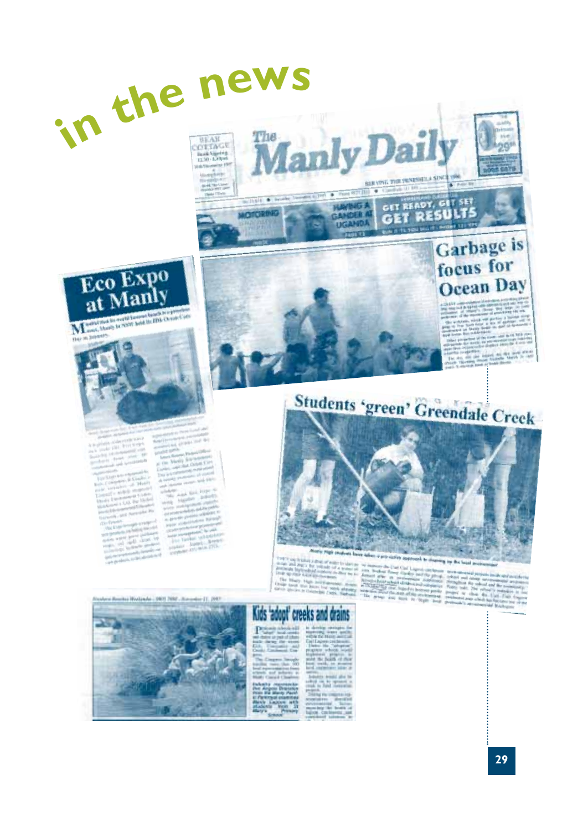





# Students 'green' Greendale Creek

Ocean Day



Kids 'adopt' creeks and drains